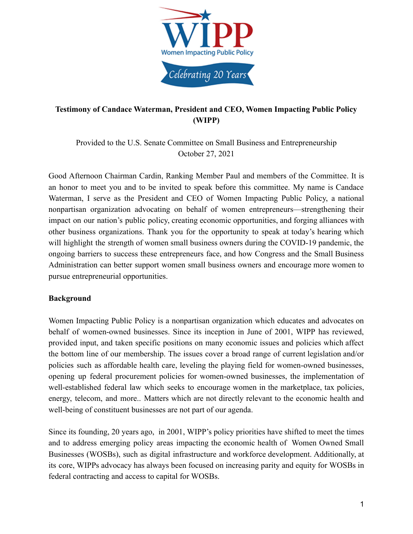

# **Testimony of Candace Waterman, President and CEO, Women Impacting Public Policy (WIPP)**

Provided to the U.S. Senate Committee on Small Business and Entrepreneurship October 27, 2021

Good Afternoon Chairman Cardin, Ranking Member Paul and members of the Committee. It is an honor to meet you and to be invited to speak before this committee. My name is Candace Waterman, I serve as the President and CEO of Women Impacting Public Policy, a national nonpartisan organization advocating on behalf of women entrepreneurs—strengthening their impact on our nation's public policy, creating economic opportunities, and forging alliances with other business organizations. Thank you for the opportunity to speak at today's hearing which will highlight the strength of women small business owners during the COVID-19 pandemic, the ongoing barriers to success these entrepreneurs face, and how Congress and the Small Business Administration can better support women small business owners and encourage more women to pursue entrepreneurial opportunities.

#### **Background**

Women Impacting Public Policy is a nonpartisan organization which educates and advocates on behalf of women-owned businesses. Since its inception in June of 2001, WIPP has reviewed, provided input, and taken specific positions on many economic issues and policies which affect the bottom line of our membership. The issues cover a broad range of current legislation and/or policies such as affordable health care, leveling the playing field for women-owned businesses, opening up federal procurement policies for women-owned businesses, the implementation of well-established federal law which seeks to encourage women in the marketplace, tax policies, energy, telecom, and more.. Matters which are not directly relevant to the economic health and well-being of constituent businesses are not part of our agenda.

Since its founding, 20 years ago, in 2001, WIPP's policy priorities have shifted to meet the times and to address emerging policy areas impacting the economic health of Women Owned Small Businesses (WOSBs), such as digital infrastructure and workforce development. Additionally, at its core, WIPPs advocacy has always been focused on increasing parity and equity for WOSBs in federal contracting and access to capital for WOSBs.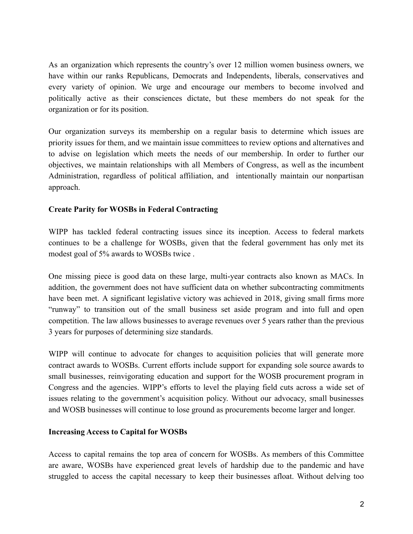As an organization which represents the country's over 12 million women business owners, we have within our ranks Republicans, Democrats and Independents, liberals, conservatives and every variety of opinion. We urge and encourage our members to become involved and politically active as their consciences dictate, but these members do not speak for the organization or for its position.

Our organization surveys its membership on a regular basis to determine which issues are priority issues for them, and we maintain issue committees to review options and alternatives and to advise on legislation which meets the needs of our membership. In order to further our objectives, we maintain relationships with all Members of Congress, as well as the incumbent Administration, regardless of political affiliation, and intentionally maintain our nonpartisan approach.

#### **Create Parity for WOSBs in Federal Contracting**

WIPP has tackled federal contracting issues since its inception. Access to federal markets continues to be a challenge for WOSBs, given that the federal government has only met its modest goal of 5% awards to WOSBs twice .

One missing piece is good data on these large, multi-year contracts also known as MACs. In addition, the government does not have sufficient data on whether subcontracting commitments have been met. A significant legislative victory was achieved in 2018, giving small firms more "runway" to transition out of the small business set aside program and into full and open competition. The law allows businesses to average revenues over 5 years rather than the previous 3 years for purposes of determining size standards.

WIPP will continue to advocate for changes to acquisition policies that will generate more contract awards to WOSBs. Current efforts include support for expanding sole source awards to small businesses, reinvigorating education and support for the WOSB procurement program in Congress and the agencies. WIPP's efforts to level the playing field cuts across a wide set of issues relating to the government's acquisition policy. Without our advocacy, small businesses and WOSB businesses will continue to lose ground as procurements become larger and longer.

#### **Increasing Access to Capital for WOSBs**

Access to capital remains the top area of concern for WOSBs. As members of this Committee are aware, WOSBs have experienced great levels of hardship due to the pandemic and have struggled to access the capital necessary to keep their businesses afloat. Without delving too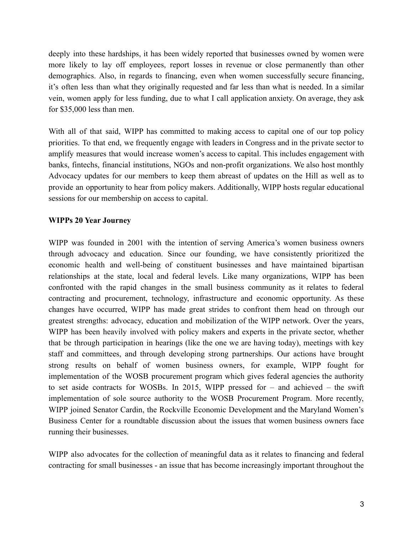deeply into these hardships, it has been widely reported that businesses owned by women were more likely to lay off employees, report losses in revenue or close permanently than other demographics. Also, in regards to financing, even when women successfully secure financing, it's often less than what they originally requested and far less than what is needed. In a similar vein, women apply for less funding, due to what I call application anxiety. On average, they ask for \$35,000 less than men.

With all of that said, WIPP has committed to making access to capital one of our top policy priorities. To that end, we frequently engage with leaders in Congress and in the private sector to amplify measures that would increase women's access to capital. This includes engagement with banks, fintechs, financial institutions, NGOs and non-profit organizations. We also host monthly Advocacy updates for our members to keep them abreast of updates on the Hill as well as to provide an opportunity to hear from policy makers. Additionally, WIPP hosts regular educational sessions for our membership on access to capital.

### **WIPPs 20 Year Journey**

WIPP was founded in 2001 with the intention of serving America's women business owners through advocacy and education. Since our founding, we have consistently prioritized the economic health and well-being of constituent businesses and have maintained bipartisan relationships at the state, local and federal levels. Like many organizations, WIPP has been confronted with the rapid changes in the small business community as it relates to federal contracting and procurement, technology, infrastructure and economic opportunity. As these changes have occurred, WIPP has made great strides to confront them head on through our greatest strengths: advocacy, education and mobilization of the WIPP network. Over the years, WIPP has been heavily involved with policy makers and experts in the private sector, whether that be through participation in hearings (like the one we are having today), meetings with key staff and committees, and through developing strong partnerships. Our actions have brought strong results on behalf of women business owners, for example, WIPP fought for implementation of the WOSB procurement program which gives federal agencies the authority to set aside contracts for WOSBs. In 2015, WIPP pressed for  $-$  and achieved  $-$  the swift implementation of sole source authority to the WOSB Procurement Program. More recently, WIPP joined Senator Cardin, the Rockville Economic Development and the Maryland Women's Business Center for a roundtable discussion about the issues that women business owners face running their businesses.

WIPP also advocates for the collection of meaningful data as it relates to financing and federal contracting for small businesses - an issue that has become increasingly important throughout the